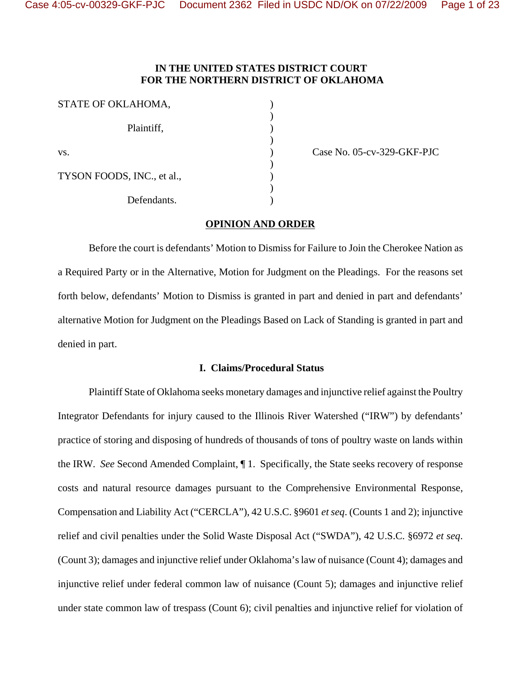# **IN THE UNITED STATES DISTRICT COURT FOR THE NORTHERN DISTRICT OF OKLAHOMA**

| STATE OF OKLAHOMA,         |  |
|----------------------------|--|
| Plaintiff,                 |  |
| VS.                        |  |
| TYSON FOODS, INC., et al., |  |
| Defendants.                |  |

Case No. 05-cv-329-GKF-PJC

## **OPINION AND ORDER**

Before the court is defendants' Motion to Dismiss for Failure to Join the Cherokee Nation as a Required Party or in the Alternative, Motion for Judgment on the Pleadings. For the reasons set forth below, defendants' Motion to Dismiss is granted in part and denied in part and defendants' alternative Motion for Judgment on the Pleadings Based on Lack of Standing is granted in part and denied in part.

# **I. Claims/Procedural Status**

Plaintiff State of Oklahoma seeks monetary damages and injunctive relief against the Poultry Integrator Defendants for injury caused to the Illinois River Watershed ("IRW") by defendants' practice of storing and disposing of hundreds of thousands of tons of poultry waste on lands within the IRW. *See* Second Amended Complaint, ¶ 1. Specifically, the State seeks recovery of response costs and natural resource damages pursuant to the Comprehensive Environmental Response, Compensation and Liability Act ("CERCLA"), 42 U.S.C. §9601 *et seq*. (Counts 1 and 2); injunctive relief and civil penalties under the Solid Waste Disposal Act ("SWDA"), 42 U.S.C. §6972 *et seq*. (Count 3); damages and injunctive relief under Oklahoma's law of nuisance (Count 4); damages and injunctive relief under federal common law of nuisance (Count 5); damages and injunctive relief under state common law of trespass (Count 6); civil penalties and injunctive relief for violation of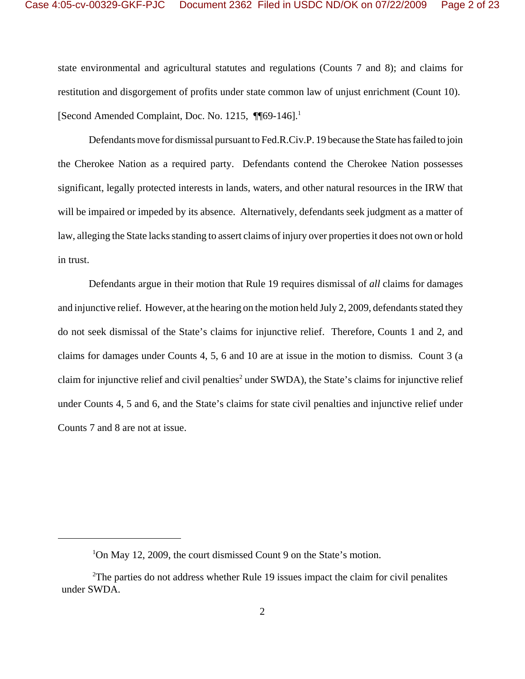state environmental and agricultural statutes and regulations (Counts 7 and 8); and claims for restitution and disgorgement of profits under state common law of unjust enrichment (Count 10). [Second Amended Complaint, Doc. No. 1215, ¶¶69-146].<sup>1</sup>

Defendants move for dismissal pursuant to Fed.R.Civ.P. 19 because the State has failed to join the Cherokee Nation as a required party. Defendants contend the Cherokee Nation possesses significant, legally protected interests in lands, waters, and other natural resources in the IRW that will be impaired or impeded by its absence. Alternatively, defendants seek judgment as a matter of law, alleging the State lacks standing to assert claims of injury over properties it does not own or hold in trust.

Defendants argue in their motion that Rule 19 requires dismissal of *all* claims for damages and injunctive relief. However, at the hearing on the motion held July 2, 2009, defendants stated they do not seek dismissal of the State's claims for injunctive relief. Therefore, Counts 1 and 2, and claims for damages under Counts 4, 5, 6 and 10 are at issue in the motion to dismiss. Count 3 (a claim for injunctive relief and civil penalties<sup>2</sup> under SWDA), the State's claims for injunctive relief under Counts 4, 5 and 6, and the State's claims for state civil penalties and injunctive relief under Counts 7 and 8 are not at issue.

<sup>&</sup>lt;sup>1</sup>On May 12, 2009, the court dismissed Count 9 on the State's motion.

 $2$ The parties do not address whether Rule 19 issues impact the claim for civil penalites under SWDA.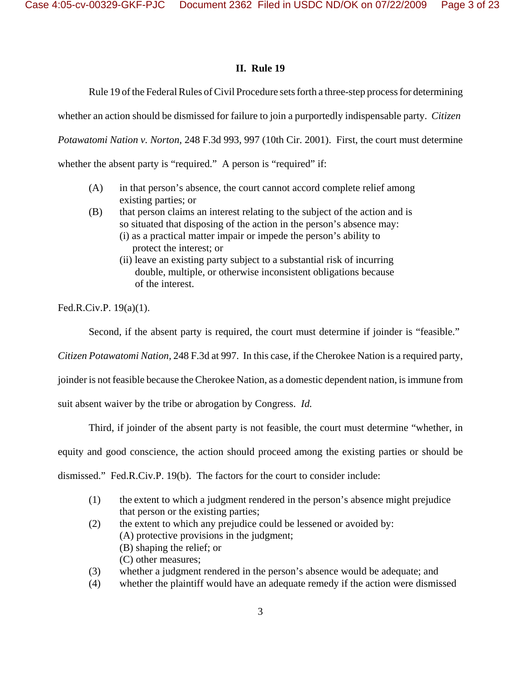# **II. Rule 19**

Rule 19 of the Federal Rules of Civil Procedure sets forth a three-step process for determining

whether an action should be dismissed for failure to join a purportedly indispensable party. *Citizen* 

*Potawatomi Nation v. Norton,* 248 F.3d 993, 997 (10th Cir. 2001). First, the court must determine

whether the absent party is "required." A person is "required" if:

- (A) in that person's absence, the court cannot accord complete relief among existing parties; or
- (B) that person claims an interest relating to the subject of the action and is so situated that disposing of the action in the person's absence may: (i) as a practical matter impair or impede the person's ability to protect the interest; or
	- (ii) leave an existing party subject to a substantial risk of incurring double, multiple, or otherwise inconsistent obligations because of the interest.

Fed.R.Civ.P. 19(a)(1).

Second, if the absent party is required, the court must determine if joinder is "feasible."

*Citizen Potawatomi Nation,* 248 F.3d at 997. In this case, if the Cherokee Nation is a required party,

joinder is not feasible because the Cherokee Nation, as a domestic dependent nation, is immune from

suit absent waiver by the tribe or abrogation by Congress. *Id.*

Third, if joinder of the absent party is not feasible, the court must determine "whether, in

equity and good conscience, the action should proceed among the existing parties or should be

dismissed." Fed.R.Civ.P. 19(b). The factors for the court to consider include:

- (1) the extent to which a judgment rendered in the person's absence might prejudice that person or the existing parties;
- (2) the extent to which any prejudice could be lessened or avoided by: (A) protective provisions in the judgment; (B) shaping the relief; or (C) other measures;
- (3) whether a judgment rendered in the person's absence would be adequate; and
- (4) whether the plaintiff would have an adequate remedy if the action were dismissed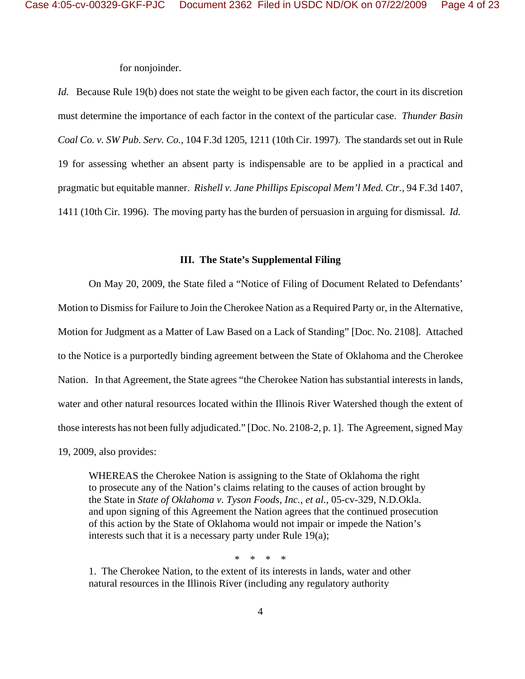for nonjoinder.

*Id.* Because Rule 19(b) does not state the weight to be given each factor, the court in its discretion must determine the importance of each factor in the context of the particular case. *Thunder Basin Coal Co. v. SW Pub. Serv. Co.,* 104 F.3d 1205, 1211 (10th Cir. 1997). The standards set out in Rule 19 for assessing whether an absent party is indispensable are to be applied in a practical and pragmatic but equitable manner. *Rishell v. Jane Phillips Episcopal Mem'l Med. Ctr.*, 94 F.3d 1407, 1411 (10th Cir. 1996). The moving party has the burden of persuasion in arguing for dismissal. *Id.*

## **III. The State's Supplemental Filing**

On May 20, 2009, the State filed a "Notice of Filing of Document Related to Defendants' Motion to Dismiss for Failure to Join the Cherokee Nation as a Required Party or, in the Alternative, Motion for Judgment as a Matter of Law Based on a Lack of Standing" [Doc. No. 2108]. Attached to the Notice is a purportedly binding agreement between the State of Oklahoma and the Cherokee Nation. In that Agreement, the State agrees "the Cherokee Nation has substantial interests in lands, water and other natural resources located within the Illinois River Watershed though the extent of those interests has not been fully adjudicated." [Doc. No. 2108-2, p. 1]. The Agreement, signed May 19, 2009, also provides:

WHEREAS the Cherokee Nation is assigning to the State of Oklahoma the right to prosecute any of the Nation's claims relating to the causes of action brought by the State in *State of Oklahoma v. Tyson Foods, Inc., et al.*, 05-cv-329, N.D.Okla. and upon signing of this Agreement the Nation agrees that the continued prosecution of this action by the State of Oklahoma would not impair or impede the Nation's interests such that it is a necessary party under Rule 19(a);

\* \* \* \*

1. The Cherokee Nation, to the extent of its interests in lands, water and other natural resources in the Illinois River (including any regulatory authority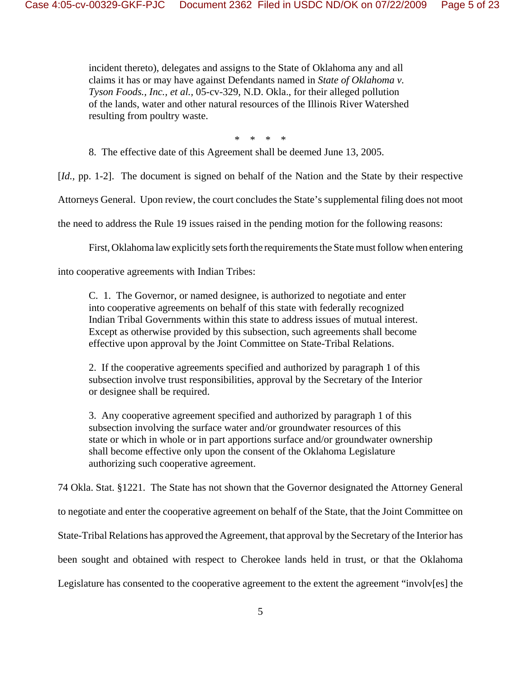incident thereto), delegates and assigns to the State of Oklahoma any and all claims it has or may have against Defendants named in *State of Oklahoma v. Tyson Foods., Inc., et al.,* 05-cv-329, N.D. Okla., for their alleged pollution of the lands, water and other natural resources of the Illinois River Watershed resulting from poultry waste.

\* \* \* \*

8. The effective date of this Agreement shall be deemed June 13, 2005.

[*Id.,* pp. 1-2]. The document is signed on behalf of the Nation and the State by their respective

Attorneys General. Upon review, the court concludes the State's supplemental filing does not moot

the need to address the Rule 19 issues raised in the pending motion for the following reasons:

First, Oklahoma law explicitly sets forth the requirements the State must follow when entering

into cooperative agreements with Indian Tribes:

C. 1. The Governor, or named designee, is authorized to negotiate and enter into cooperative agreements on behalf of this state with federally recognized Indian Tribal Governments within this state to address issues of mutual interest. Except as otherwise provided by this subsection, such agreements shall become effective upon approval by the Joint Committee on State-Tribal Relations.

2. If the cooperative agreements specified and authorized by paragraph 1 of this subsection involve trust responsibilities, approval by the Secretary of the Interior or designee shall be required.

3. Any cooperative agreement specified and authorized by paragraph 1 of this subsection involving the surface water and/or groundwater resources of this state or which in whole or in part apportions surface and/or groundwater ownership shall become effective only upon the consent of the Oklahoma Legislature authorizing such cooperative agreement.

74 Okla. Stat. §1221. The State has not shown that the Governor designated the Attorney General

to negotiate and enter the cooperative agreement on behalf of the State, that the Joint Committee on

State-Tribal Relations has approved the Agreement, that approval by the Secretary of the Interior has

been sought and obtained with respect to Cherokee lands held in trust, or that the Oklahoma

Legislature has consented to the cooperative agreement to the extent the agreement "involv[es] the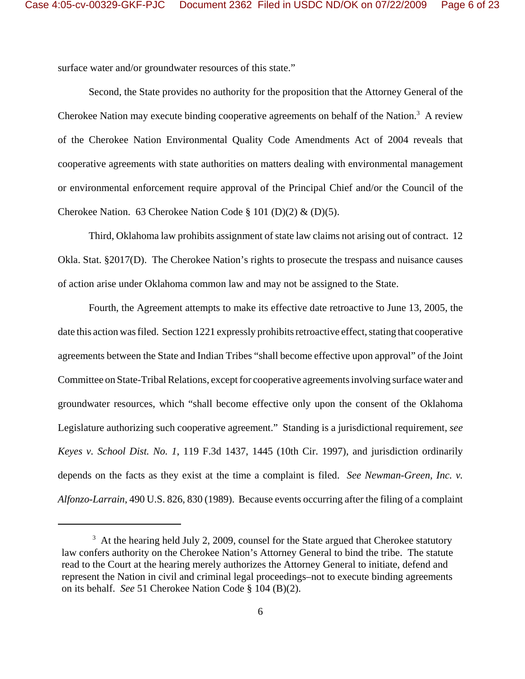surface water and/or groundwater resources of this state."

Second, the State provides no authority for the proposition that the Attorney General of the Cherokee Nation may execute binding cooperative agreements on behalf of the Nation.<sup>3</sup> A review of the Cherokee Nation Environmental Quality Code Amendments Act of 2004 reveals that cooperative agreements with state authorities on matters dealing with environmental management or environmental enforcement require approval of the Principal Chief and/or the Council of the Cherokee Nation. 63 Cherokee Nation Code § 101 (D)(2) & (D)(5).

Third, Oklahoma law prohibits assignment of state law claims not arising out of contract. 12 Okla. Stat. §2017(D). The Cherokee Nation's rights to prosecute the trespass and nuisance causes of action arise under Oklahoma common law and may not be assigned to the State.

Fourth, the Agreement attempts to make its effective date retroactive to June 13, 2005, the date this action was filed. Section 1221 expressly prohibits retroactive effect, stating that cooperative agreements between the State and Indian Tribes "shall become effective upon approval" of the Joint Committee on State-Tribal Relations, except for cooperative agreements involving surface water and groundwater resources, which "shall become effective only upon the consent of the Oklahoma Legislature authorizing such cooperative agreement." Standing is a jurisdictional requirement, *see Keyes v. School Dist. No. 1*, 119 F.3d 1437, 1445 (10th Cir. 1997), and jurisdiction ordinarily depends on the facts as they exist at the time a complaint is filed. *See Newman-Green, Inc. v. Alfonzo-Larrain*, 490 U.S. 826, 830 (1989). Because events occurring after the filing of a complaint

 $3\,$  At the hearing held July 2, 2009, counsel for the State argued that Cherokee statutory law confers authority on the Cherokee Nation's Attorney General to bind the tribe. The statute read to the Court at the hearing merely authorizes the Attorney General to initiate, defend and represent the Nation in civil and criminal legal proceedings–not to execute binding agreements on its behalf. *See* 51 Cherokee Nation Code § 104 (B)(2).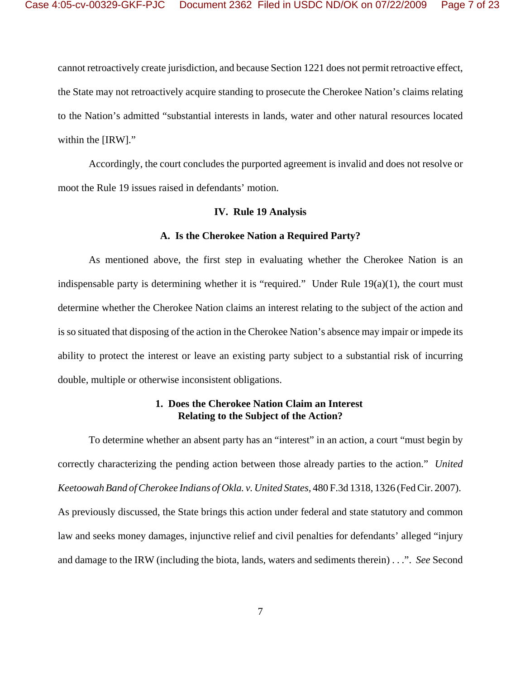cannot retroactively create jurisdiction, and because Section 1221 does not permit retroactive effect, the State may not retroactively acquire standing to prosecute the Cherokee Nation's claims relating to the Nation's admitted "substantial interests in lands, water and other natural resources located within the [IRW]."

Accordingly, the court concludes the purported agreement is invalid and does not resolve or moot the Rule 19 issues raised in defendants' motion.

### **IV. Rule 19 Analysis**

#### **A. Is the Cherokee Nation a Required Party?**

As mentioned above, the first step in evaluating whether the Cherokee Nation is an indispensable party is determining whether it is "required." Under Rule 19(a)(1), the court must determine whether the Cherokee Nation claims an interest relating to the subject of the action and is so situated that disposing of the action in the Cherokee Nation's absence may impair or impede its ability to protect the interest or leave an existing party subject to a substantial risk of incurring double, multiple or otherwise inconsistent obligations.

# **1. Does the Cherokee Nation Claim an Interest Relating to the Subject of the Action?**

To determine whether an absent party has an "interest" in an action, a court "must begin by correctly characterizing the pending action between those already parties to the action." *United Keetoowah Band of Cherokee Indians of Okla. v. United States,* 480 F.3d 1318, 1326 (Fed Cir. 2007). As previously discussed, the State brings this action under federal and state statutory and common law and seeks money damages, injunctive relief and civil penalties for defendants' alleged "injury and damage to the IRW (including the biota, lands, waters and sediments therein) . . .". *See* Second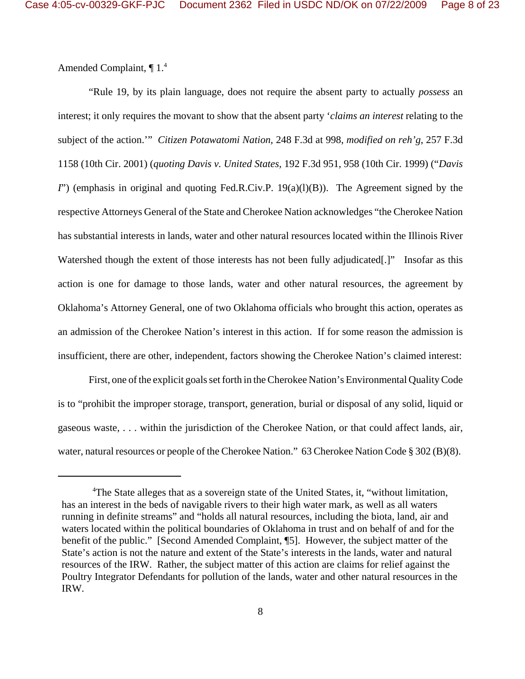Amended Complaint, ¶ 1.4

"Rule 19, by its plain language, does not require the absent party to actually *possess* an interest; it only requires the movant to show that the absent party '*claims an interest* relating to the subject of the action.'" *Citizen Potawatomi Nation*, 248 F.3d at 998, *modified on reh'g*, 257 F.3d 1158 (10th Cir. 2001) (*quoting Davis v. United States,* 192 F.3d 951, 958 (10th Cir. 1999) ("*Davis I*") (emphasis in original and quoting Fed.R.Civ.P. 19(a)(l)(B)). The Agreement signed by the respective Attorneys General of the State and Cherokee Nation acknowledges "the Cherokee Nation has substantial interests in lands, water and other natural resources located within the Illinois River Watershed though the extent of those interests has not been fully adjudicated.<sup>[1]</sup> Insofar as this action is one for damage to those lands, water and other natural resources, the agreement by Oklahoma's Attorney General, one of two Oklahoma officials who brought this action, operates as an admission of the Cherokee Nation's interest in this action. If for some reason the admission is insufficient, there are other, independent, factors showing the Cherokee Nation's claimed interest:

First, one of the explicit goals set forth in the Cherokee Nation's Environmental Quality Code is to "prohibit the improper storage, transport, generation, burial or disposal of any solid, liquid or gaseous waste, . . . within the jurisdiction of the Cherokee Nation, or that could affect lands, air, water, natural resources or people of the Cherokee Nation." 63 Cherokee Nation Code § 302 (B)(8).

<sup>&</sup>lt;sup>4</sup>The State alleges that as a sovereign state of the United States, it, "without limitation, has an interest in the beds of navigable rivers to their high water mark, as well as all waters running in definite streams" and "holds all natural resources, including the biota, land, air and waters located within the political boundaries of Oklahoma in trust and on behalf of and for the benefit of the public." [Second Amended Complaint, ¶5]. However, the subject matter of the State's action is not the nature and extent of the State's interests in the lands, water and natural resources of the IRW. Rather, the subject matter of this action are claims for relief against the Poultry Integrator Defendants for pollution of the lands, water and other natural resources in the IRW.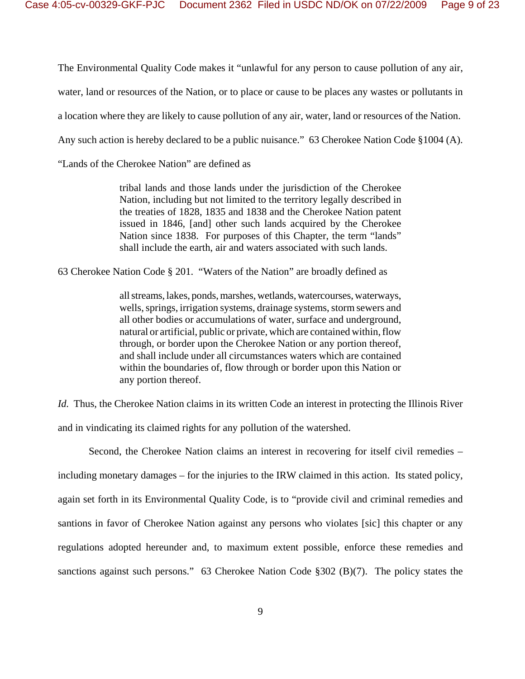The Environmental Quality Code makes it "unlawful for any person to cause pollution of any air,

water, land or resources of the Nation, or to place or cause to be places any wastes or pollutants in

a location where they are likely to cause pollution of any air, water, land or resources of the Nation.

Any such action is hereby declared to be a public nuisance." 63 Cherokee Nation Code §1004 (A).

"Lands of the Cherokee Nation" are defined as

tribal lands and those lands under the jurisdiction of the Cherokee Nation, including but not limited to the territory legally described in the treaties of 1828, 1835 and 1838 and the Cherokee Nation patent issued in 1846, [and] other such lands acquired by the Cherokee Nation since 1838. For purposes of this Chapter, the term "lands" shall include the earth, air and waters associated with such lands.

63 Cherokee Nation Code § 201. "Waters of the Nation" are broadly defined as

all streams, lakes, ponds, marshes, wetlands, watercourses, waterways, wells, springs, irrigation systems, drainage systems, storm sewers and all other bodies or accumulations of water, surface and underground, natural or artificial, public or private, which are contained within, flow through, or border upon the Cherokee Nation or any portion thereof, and shall include under all circumstances waters which are contained within the boundaries of, flow through or border upon this Nation or any portion thereof.

*Id.* Thus, the Cherokee Nation claims in its written Code an interest in protecting the Illinois River and in vindicating its claimed rights for any pollution of the watershed.

Second, the Cherokee Nation claims an interest in recovering for itself civil remedies – including monetary damages – for the injuries to the IRW claimed in this action. Its stated policy, again set forth in its Environmental Quality Code, is to "provide civil and criminal remedies and santions in favor of Cherokee Nation against any persons who violates [sic] this chapter or any regulations adopted hereunder and, to maximum extent possible, enforce these remedies and sanctions against such persons." 63 Cherokee Nation Code §302 (B)(7). The policy states the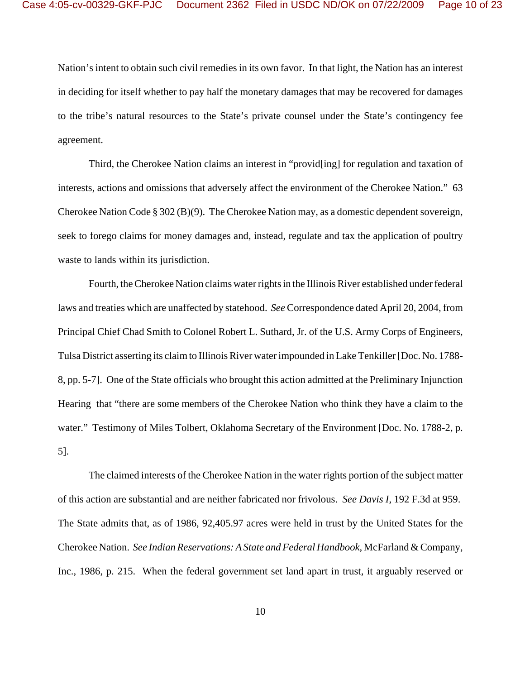Nation's intent to obtain such civil remedies in its own favor. In that light, the Nation has an interest in deciding for itself whether to pay half the monetary damages that may be recovered for damages to the tribe's natural resources to the State's private counsel under the State's contingency fee agreement.

Third, the Cherokee Nation claims an interest in "provid[ing] for regulation and taxation of interests, actions and omissions that adversely affect the environment of the Cherokee Nation." 63 Cherokee Nation Code § 302 (B)(9). The Cherokee Nation may, as a domestic dependent sovereign, seek to forego claims for money damages and, instead, regulate and tax the application of poultry waste to lands within its jurisdiction.

Fourth, the Cherokee Nation claims water rights in the Illinois River established under federal laws and treaties which are unaffected by statehood. *See* Correspondence dated April 20, 2004, from Principal Chief Chad Smith to Colonel Robert L. Suthard, Jr. of the U.S. Army Corps of Engineers, Tulsa District asserting its claim to Illinois River water impounded in Lake Tenkiller [Doc. No. 1788- 8, pp. 5-7]. One of the State officials who brought this action admitted at the Preliminary Injunction Hearing that "there are some members of the Cherokee Nation who think they have a claim to the water." Testimony of Miles Tolbert, Oklahoma Secretary of the Environment [Doc. No. 1788-2, p. 5].

The claimed interests of the Cherokee Nation in the water rights portion of the subject matter of this action are substantial and are neither fabricated nor frivolous. *See Davis I*, 192 F.3d at 959. The State admits that, as of 1986, 92,405.97 acres were held in trust by the United States for the Cherokee Nation. *See Indian Reservations: A State and Federal Handbook*, McFarland & Company, Inc., 1986, p. 215. When the federal government set land apart in trust, it arguably reserved or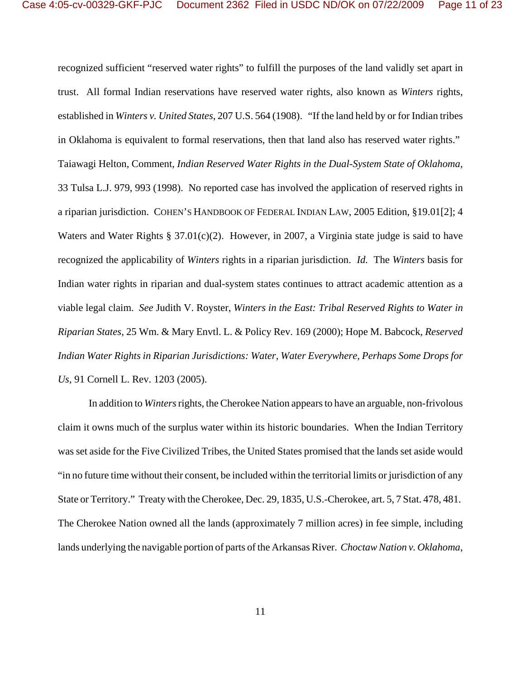recognized sufficient "reserved water rights" to fulfill the purposes of the land validly set apart in trust. All formal Indian reservations have reserved water rights, also known as *Winters* rights, established in *Winters v. United States*, 207 U.S. 564 (1908). "If the land held by or for Indian tribes in Oklahoma is equivalent to formal reservations, then that land also has reserved water rights." Taiawagi Helton, Comment, *Indian Reserved Water Rights in the Dual-System State of Oklahoma*, 33 Tulsa L.J. 979, 993 (1998). No reported case has involved the application of reserved rights in a riparian jurisdiction. COHEN'S HANDBOOK OF FEDERAL INDIAN LAW, 2005 Edition, §19.01[2]; 4 Waters and Water Rights § 37.01(c)(2). However, in 2007, a Virginia state judge is said to have recognized the applicability of *Winters* rights in a riparian jurisdiction. *Id.* The *Winters* basis for Indian water rights in riparian and dual-system states continues to attract academic attention as a viable legal claim. *See* Judith V. Royster, *Winters in the East: Tribal Reserved Rights to Water in Riparian States*, 25 Wm. & Mary Envtl. L. & Policy Rev. 169 (2000); Hope M. Babcock, *Reserved Indian Water Rights in Riparian Jurisdictions: Water, Water Everywhere, Perhaps Some Drops for Us*, 91 Cornell L. Rev. 1203 (2005).

In addition to *Winters* rights, the Cherokee Nation appears to have an arguable, non-frivolous claim it owns much of the surplus water within its historic boundaries. When the Indian Territory was set aside for the Five Civilized Tribes, the United States promised that the lands set aside would "in no future time without their consent, be included within the territorial limits or jurisdiction of any State or Territory." Treaty with the Cherokee, Dec. 29, 1835, U.S.-Cherokee, art. 5, 7 Stat. 478, 481. The Cherokee Nation owned all the lands (approximately 7 million acres) in fee simple, including lands underlying the navigable portion of parts of the Arkansas River. *Choctaw Nation v. Oklahoma*,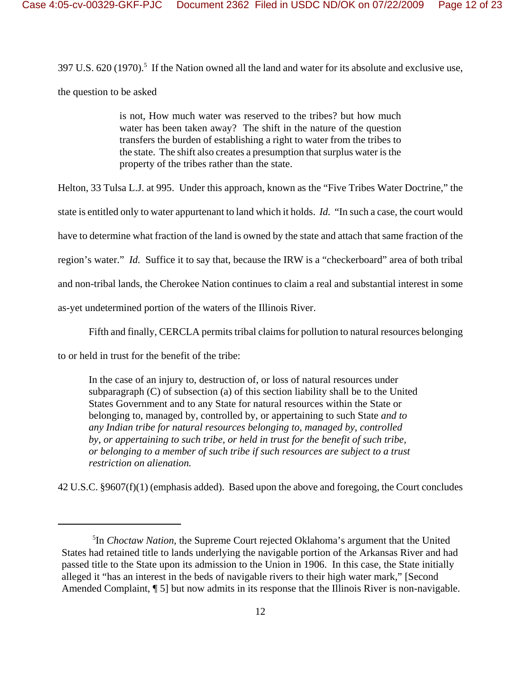$397$  U.S.  $620$  (1970).<sup>5</sup> If the Nation owned all the land and water for its absolute and exclusive use, the question to be asked

> is not, How much water was reserved to the tribes? but how much water has been taken away? The shift in the nature of the question transfers the burden of establishing a right to water from the tribes to the state. The shift also creates a presumption that surplus water is the property of the tribes rather than the state.

Helton, 33 Tulsa L.J. at 995. Under this approach, known as the "Five Tribes Water Doctrine," the

state is entitled only to water appurtenant to land which it holds. *Id.* "In such a case, the court would

have to determine what fraction of the land is owned by the state and attach that same fraction of the

region's water." *Id.* Suffice it to say that, because the IRW is a "checkerboard" area of both tribal

and non-tribal lands, the Cherokee Nation continues to claim a real and substantial interest in some

as-yet undetermined portion of the waters of the Illinois River.

Fifth and finally, CERCLA permits tribal claims for pollution to natural resources belonging

to or held in trust for the benefit of the tribe:

In the case of an injury to, destruction of, or loss of natural resources under subparagraph (C) of subsection (a) of this section liability shall be to the United States Government and to any State for natural resources within the State or belonging to, managed by, controlled by, or appertaining to such State *and to any Indian tribe for natural resources belonging to, managed by, controlled by*, *or appertaining to such tribe, or held in trust for the benefit of such tribe, or belonging to a member of such tribe if such resources are subject to a trust restriction on alienation.*

42 U.S.C. §9607(f)(1) (emphasis added). Based upon the above and foregoing, the Court concludes

<sup>5</sup> In *Choctaw Nation*, the Supreme Court rejected Oklahoma's argument that the United States had retained title to lands underlying the navigable portion of the Arkansas River and had passed title to the State upon its admission to the Union in 1906. In this case, the State initially alleged it "has an interest in the beds of navigable rivers to their high water mark," [Second Amended Complaint, ¶ 5] but now admits in its response that the Illinois River is non-navigable.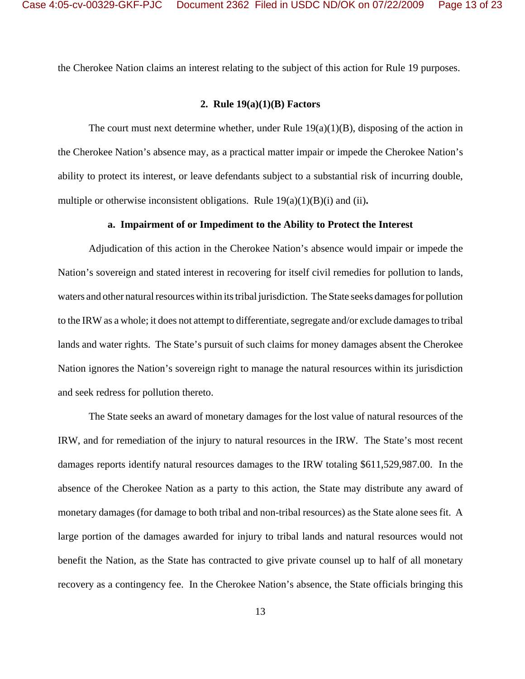the Cherokee Nation claims an interest relating to the subject of this action for Rule 19 purposes.

## **2. Rule 19(a)(1)(B) Factors**

The court must next determine whether, under Rule  $19(a)(1)(B)$ , disposing of the action in the Cherokee Nation's absence may, as a practical matter impair or impede the Cherokee Nation's ability to protect its interest, or leave defendants subject to a substantial risk of incurring double, multiple or otherwise inconsistent obligations. Rule  $19(a)(1)(B)(i)$  and (ii).

#### **a. Impairment of or Impediment to the Ability to Protect the Interest**

Adjudication of this action in the Cherokee Nation's absence would impair or impede the Nation's sovereign and stated interest in recovering for itself civil remedies for pollution to lands, waters and other natural resources within its tribal jurisdiction. The State seeks damages for pollution to the IRW as a whole; it does not attempt to differentiate, segregate and/or exclude damages to tribal lands and water rights. The State's pursuit of such claims for money damages absent the Cherokee Nation ignores the Nation's sovereign right to manage the natural resources within its jurisdiction and seek redress for pollution thereto.

The State seeks an award of monetary damages for the lost value of natural resources of the IRW, and for remediation of the injury to natural resources in the IRW. The State's most recent damages reports identify natural resources damages to the IRW totaling \$611,529,987.00. In the absence of the Cherokee Nation as a party to this action, the State may distribute any award of monetary damages (for damage to both tribal and non-tribal resources) as the State alone sees fit. A large portion of the damages awarded for injury to tribal lands and natural resources would not benefit the Nation, as the State has contracted to give private counsel up to half of all monetary recovery as a contingency fee. In the Cherokee Nation's absence, the State officials bringing this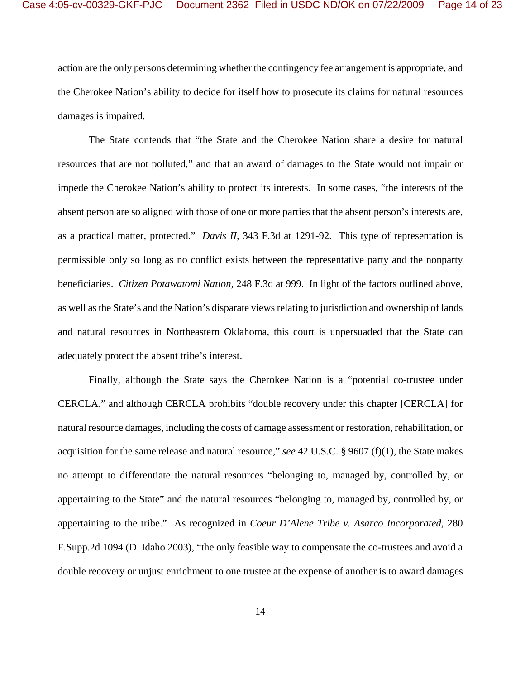action are the only persons determining whether the contingency fee arrangement is appropriate, and the Cherokee Nation's ability to decide for itself how to prosecute its claims for natural resources damages is impaired.

The State contends that "the State and the Cherokee Nation share a desire for natural resources that are not polluted," and that an award of damages to the State would not impair or impede the Cherokee Nation's ability to protect its interests. In some cases, "the interests of the absent person are so aligned with those of one or more parties that the absent person's interests are, as a practical matter, protected." *Davis II,* 343 F.3d at 1291-92. This type of representation is permissible only so long as no conflict exists between the representative party and the nonparty beneficiaries. *Citizen Potawatomi Nation,* 248 F.3d at 999. In light of the factors outlined above, as well as the State's and the Nation's disparate views relating to jurisdiction and ownership of lands and natural resources in Northeastern Oklahoma, this court is unpersuaded that the State can adequately protect the absent tribe's interest.

Finally, although the State says the Cherokee Nation is a "potential co-trustee under CERCLA," and although CERCLA prohibits "double recovery under this chapter [CERCLA] for natural resource damages, including the costs of damage assessment or restoration, rehabilitation, or acquisition for the same release and natural resource," *see* 42 U.S.C. § 9607 (f)(1), the State makes no attempt to differentiate the natural resources "belonging to, managed by, controlled by, or appertaining to the State" and the natural resources "belonging to, managed by, controlled by, or appertaining to the tribe." As recognized in *Coeur D'Alene Tribe v. Asarco Incorporated*, 280 F.Supp.2d 1094 (D. Idaho 2003), "the only feasible way to compensate the co-trustees and avoid a double recovery or unjust enrichment to one trustee at the expense of another is to award damages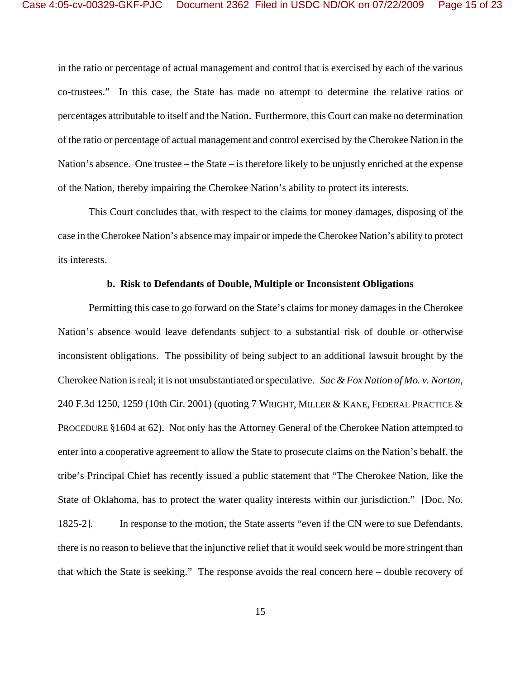in the ratio or percentage of actual management and control that is exercised by each of the various co-trustees." In this case, the State has made no attempt to determine the relative ratios or percentages attributable to itself and the Nation. Furthermore, this Court can make no determination of the ratio or percentage of actual management and control exercised by the Cherokee Nation in the Nation's absence. One trustee – the State – is therefore likely to be unjustly enriched at the expense of the Nation, thereby impairing the Cherokee Nation's ability to protect its interests.

This Court concludes that, with respect to the claims for money damages, disposing of the case in the Cherokee Nation's absence may impair or impede the Cherokee Nation's ability to protect its interests.

## **b. Risk to Defendants of Double, Multiple or Inconsistent Obligations**

Permitting this case to go forward on the State's claims for money damages in the Cherokee Nation's absence would leave defendants subject to a substantial risk of double or otherwise inconsistent obligations. The possibility of being subject to an additional lawsuit brought by the Cherokee Nation is real; it is not unsubstantiated or speculative. *Sac & Fox Nation of Mo. v. Norton,* 240 F.3d 1250, 1259 (10th Cir. 2001) (quoting 7 WRIGHT, MILLER & KANE, FEDERAL PRACTICE  $\&$ PROCEDURE §1604 at 62). Not only has the Attorney General of the Cherokee Nation attempted to enter into a cooperative agreement to allow the State to prosecute claims on the Nation's behalf, the tribe's Principal Chief has recently issued a public statement that "The Cherokee Nation, like the State of Oklahoma, has to protect the water quality interests within our jurisdiction." [Doc. No. 1825-2]. In response to the motion, the State asserts "even if the CN were to sue Defendants, there is no reason to believe that the injunctive relief that it would seek would be more stringent than that which the State is seeking." The response avoids the real concern here – double recovery of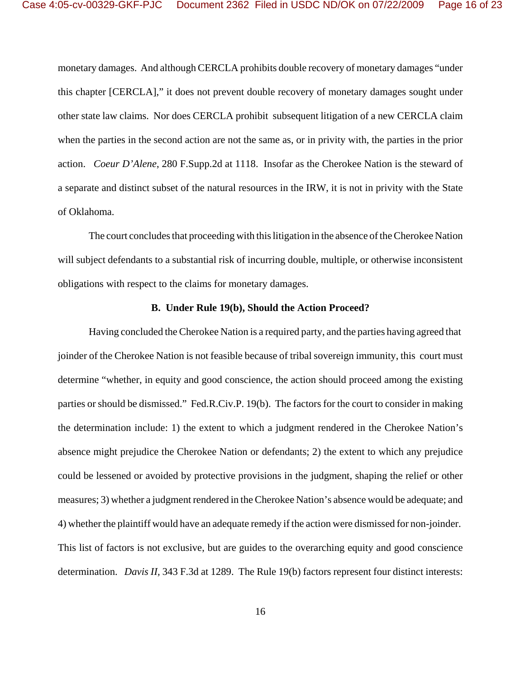monetary damages. And although CERCLA prohibits double recovery of monetary damages "under this chapter [CERCLA]," it does not prevent double recovery of monetary damages sought under other state law claims. Nor does CERCLA prohibit subsequent litigation of a new CERCLA claim when the parties in the second action are not the same as, or in privity with, the parties in the prior action. *Coeur D'Alene*, 280 F.Supp.2d at 1118. Insofar as the Cherokee Nation is the steward of a separate and distinct subset of the natural resources in the IRW, it is not in privity with the State of Oklahoma.

The court concludes that proceeding with this litigation in the absence of the Cherokee Nation will subject defendants to a substantial risk of incurring double, multiple, or otherwise inconsistent obligations with respect to the claims for monetary damages.

### **B. Under Rule 19(b), Should the Action Proceed?**

Having concluded the Cherokee Nation is a required party, and the parties having agreed that joinder of the Cherokee Nation is not feasible because of tribal sovereign immunity, this court must determine "whether, in equity and good conscience, the action should proceed among the existing parties or should be dismissed." Fed.R.Civ.P. 19(b). The factors for the court to consider in making the determination include: 1) the extent to which a judgment rendered in the Cherokee Nation's absence might prejudice the Cherokee Nation or defendants; 2) the extent to which any prejudice could be lessened or avoided by protective provisions in the judgment, shaping the relief or other measures; 3) whether a judgment rendered in the Cherokee Nation's absence would be adequate; and 4) whether the plaintiff would have an adequate remedy if the action were dismissed for non-joinder. This list of factors is not exclusive, but are guides to the overarching equity and good conscience determination. *Davis II,* 343 F.3d at 1289. The Rule 19(b) factors represent four distinct interests: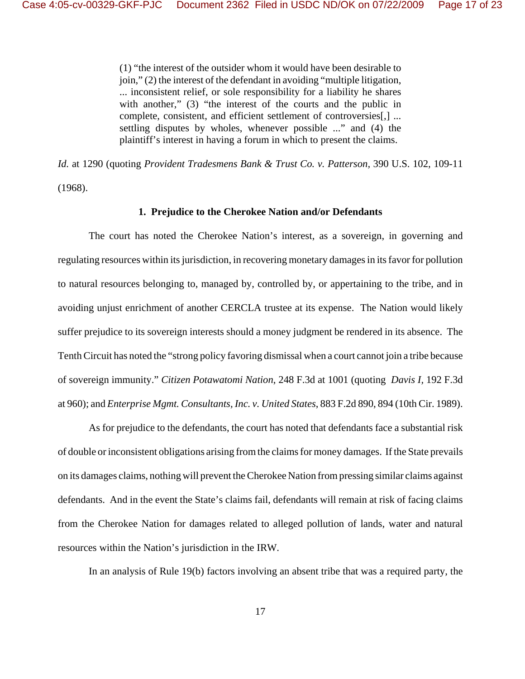(1) "the interest of the outsider whom it would have been desirable to join," (2) the interest of the defendant in avoiding "multiple litigation, ... inconsistent relief, or sole responsibility for a liability he shares with another," (3) "the interest of the courts and the public in complete, consistent, and efficient settlement of controversies[,] ... settling disputes by wholes, whenever possible ..." and (4) the plaintiff's interest in having a forum in which to present the claims.

*Id.* at 1290 (quoting *Provident Tradesmens Bank & Trust Co. v. Patterson,* 390 U.S. 102, 109-11 (1968).

### **1. Prejudice to the Cherokee Nation and/or Defendants**

The court has noted the Cherokee Nation's interest, as a sovereign, in governing and regulating resources within its jurisdiction, in recovering monetary damages in its favor for pollution to natural resources belonging to, managed by, controlled by, or appertaining to the tribe, and in avoiding unjust enrichment of another CERCLA trustee at its expense. The Nation would likely suffer prejudice to its sovereign interests should a money judgment be rendered in its absence. The Tenth Circuit has noted the "strong policy favoring dismissal when a court cannot join a tribe because of sovereign immunity." *Citizen Potawatomi Nation*, 248 F.3d at 1001 (quoting *Davis I,* 192 F.3d at 960); and *Enterprise Mgmt. Consultants, Inc. v. United States*, 883 F.2d 890, 894 (10th Cir. 1989).

As for prejudice to the defendants, the court has noted that defendants face a substantial risk of double or inconsistent obligations arising from the claims for money damages. If the State prevails on its damages claims, nothing will prevent the Cherokee Nation from pressing similar claims against defendants. And in the event the State's claims fail, defendants will remain at risk of facing claims from the Cherokee Nation for damages related to alleged pollution of lands, water and natural resources within the Nation's jurisdiction in the IRW.

In an analysis of Rule 19(b) factors involving an absent tribe that was a required party, the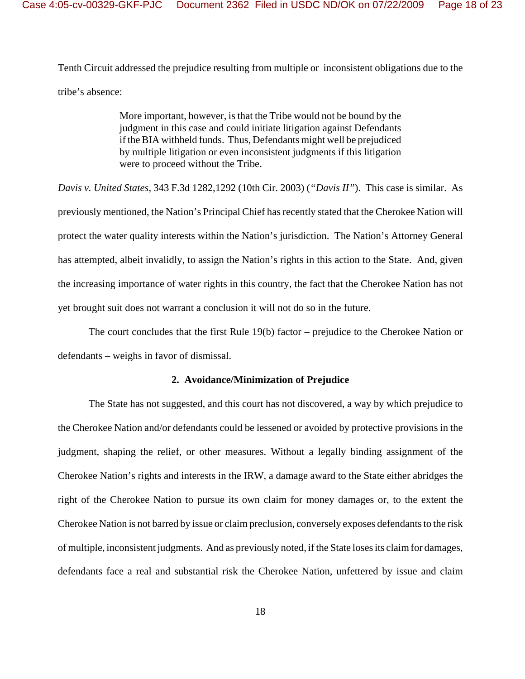Tenth Circuit addressed the prejudice resulting from multiple or inconsistent obligations due to the tribe's absence:

> More important, however, is that the Tribe would not be bound by the judgment in this case and could initiate litigation against Defendants if the BIA withheld funds. Thus, Defendants might well be prejudiced by multiple litigation or even inconsistent judgments if this litigation were to proceed without the Tribe.

*Davis v. United States*, 343 F.3d 1282,1292 (10th Cir. 2003) (*"Davis II"*). This case is similar. As previously mentioned, the Nation's Principal Chief has recently stated that the Cherokee Nation will protect the water quality interests within the Nation's jurisdiction. The Nation's Attorney General has attempted, albeit invalidly, to assign the Nation's rights in this action to the State. And, given the increasing importance of water rights in this country, the fact that the Cherokee Nation has not yet brought suit does not warrant a conclusion it will not do so in the future.

The court concludes that the first Rule 19(b) factor – prejudice to the Cherokee Nation or defendants – weighs in favor of dismissal.

## **2. Avoidance/Minimization of Prejudice**

The State has not suggested, and this court has not discovered, a way by which prejudice to the Cherokee Nation and/or defendants could be lessened or avoided by protective provisions in the judgment, shaping the relief, or other measures. Without a legally binding assignment of the Cherokee Nation's rights and interests in the IRW, a damage award to the State either abridges the right of the Cherokee Nation to pursue its own claim for money damages or, to the extent the Cherokee Nation is not barred by issue or claim preclusion, conversely exposes defendants to the risk of multiple, inconsistent judgments. And as previously noted, if the State loses its claim for damages, defendants face a real and substantial risk the Cherokee Nation, unfettered by issue and claim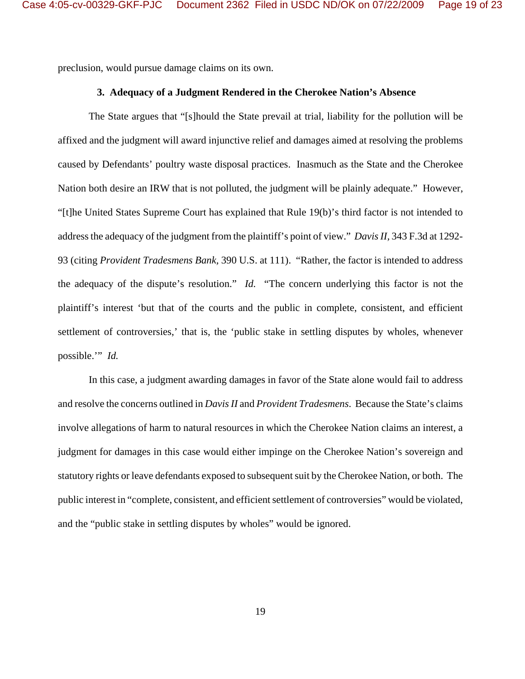preclusion, would pursue damage claims on its own.

# **3. Adequacy of a Judgment Rendered in the Cherokee Nation's Absence**

The State argues that "[s]hould the State prevail at trial, liability for the pollution will be affixed and the judgment will award injunctive relief and damages aimed at resolving the problems caused by Defendants' poultry waste disposal practices. Inasmuch as the State and the Cherokee Nation both desire an IRW that is not polluted, the judgment will be plainly adequate." However, "[t]he United States Supreme Court has explained that Rule 19(b)'s third factor is not intended to address the adequacy of the judgment from the plaintiff's point of view." *Davis II,* 343 F.3d at 1292- 93 (citing *Provident Tradesmens Bank,* 390 U.S. at 111). "Rather, the factor is intended to address the adequacy of the dispute's resolution." *Id.* "The concern underlying this factor is not the plaintiff's interest 'but that of the courts and the public in complete, consistent, and efficient settlement of controversies,' that is, the 'public stake in settling disputes by wholes, whenever possible.'" *Id.* 

In this case, a judgment awarding damages in favor of the State alone would fail to address and resolve the concerns outlined in *Davis II* and *Provident Tradesmens*. Because the State's claims involve allegations of harm to natural resources in which the Cherokee Nation claims an interest, a judgment for damages in this case would either impinge on the Cherokee Nation's sovereign and statutory rights or leave defendants exposed to subsequent suit by the Cherokee Nation, or both. The public interest in "complete, consistent, and efficient settlement of controversies" would be violated, and the "public stake in settling disputes by wholes" would be ignored.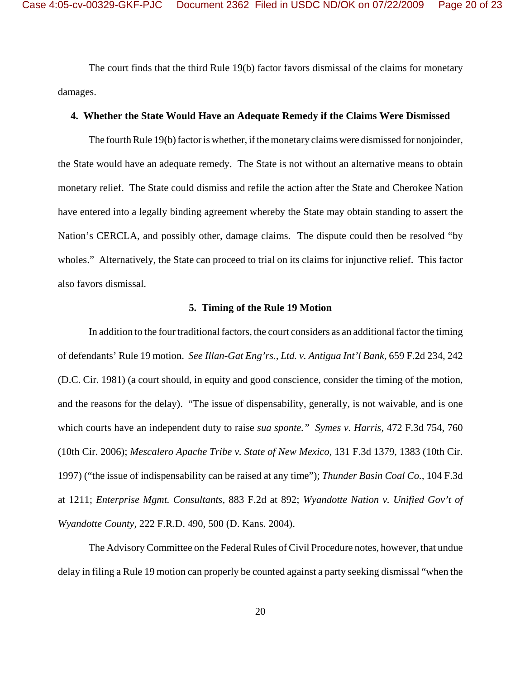The court finds that the third Rule 19(b) factor favors dismissal of the claims for monetary damages.

## **4. Whether the State Would Have an Adequate Remedy if the Claims Were Dismissed**

The fourth Rule 19(b) factor is whether, if the monetary claims were dismissed for nonjoinder, the State would have an adequate remedy. The State is not without an alternative means to obtain monetary relief. The State could dismiss and refile the action after the State and Cherokee Nation have entered into a legally binding agreement whereby the State may obtain standing to assert the Nation's CERCLA, and possibly other, damage claims. The dispute could then be resolved "by wholes." Alternatively, the State can proceed to trial on its claims for injunctive relief. This factor also favors dismissal.

#### **5. Timing of the Rule 19 Motion**

In addition to the four traditional factors, the court considers as an additional factor the timing of defendants' Rule 19 motion. *See Illan-Gat Eng'rs., Ltd. v. Antigua Int'l Bank,* 659 F.2d 234, 242 (D.C. Cir. 1981) (a court should, in equity and good conscience, consider the timing of the motion, and the reasons for the delay). "The issue of dispensability, generally, is not waivable, and is one which courts have an independent duty to raise *sua sponte." Symes v. Harris,* 472 F.3d 754, 760 (10th Cir. 2006); *Mescalero Apache Tribe v. State of New Mexico,* 131 F.3d 1379, 1383 (10th Cir. 1997) ("the issue of indispensability can be raised at any time"); *Thunder Basin Coal Co.,* 104 F.3d at 1211; *Enterprise Mgmt. Consultants,* 883 F.2d at 892; *Wyandotte Nation v. Unified Gov't of Wyandotte County,* 222 F.R.D. 490, 500 (D. Kans. 2004).

The Advisory Committee on the Federal Rules of Civil Procedure notes, however, that undue delay in filing a Rule 19 motion can properly be counted against a party seeking dismissal "when the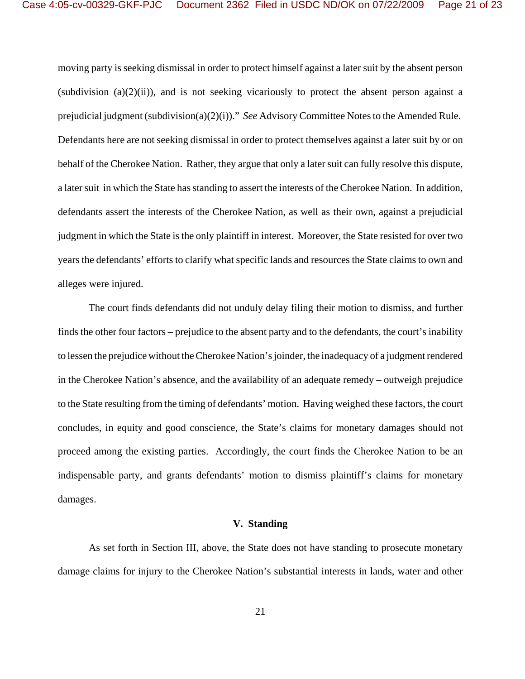moving party is seeking dismissal in order to protect himself against a later suit by the absent person (subdivision  $(a)(2)(ii)$ ), and is not seeking vicariously to protect the absent person against a prejudicial judgment (subdivision(a)(2)(i))." *See* Advisory Committee Notes to the Amended Rule. Defendants here are not seeking dismissal in order to protect themselves against a later suit by or on behalf of the Cherokee Nation. Rather, they argue that only a later suit can fully resolve this dispute, a later suit in which the State has standing to assert the interests of the Cherokee Nation. In addition, defendants assert the interests of the Cherokee Nation, as well as their own, against a prejudicial judgment in which the State is the only plaintiff in interest. Moreover, the State resisted for over two years the defendants' efforts to clarify what specific lands and resources the State claims to own and alleges were injured.

The court finds defendants did not unduly delay filing their motion to dismiss, and further finds the other four factors – prejudice to the absent party and to the defendants, the court's inability to lessen the prejudice without the Cherokee Nation's joinder, the inadequacy of a judgment rendered in the Cherokee Nation's absence, and the availability of an adequate remedy – outweigh prejudice to the State resulting from the timing of defendants' motion. Having weighed these factors, the court concludes, in equity and good conscience, the State's claims for monetary damages should not proceed among the existing parties. Accordingly, the court finds the Cherokee Nation to be an indispensable party, and grants defendants' motion to dismiss plaintiff's claims for monetary damages.

#### **V. Standing**

As set forth in Section III, above, the State does not have standing to prosecute monetary damage claims for injury to the Cherokee Nation's substantial interests in lands, water and other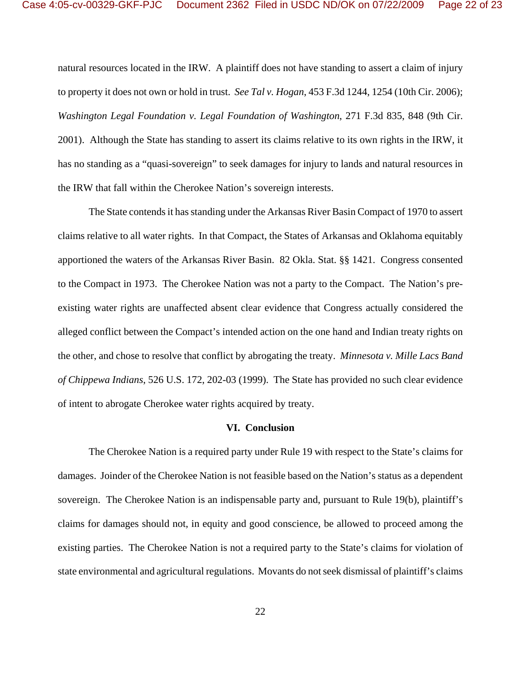natural resources located in the IRW. A plaintiff does not have standing to assert a claim of injury to property it does not own or hold in trust. *See Tal v. Hogan*, 453 F.3d 1244, 1254 (10th Cir. 2006); *Washington Legal Foundation v. Legal Foundation of Washington*, 271 F.3d 835, 848 (9th Cir. 2001). Although the State has standing to assert its claims relative to its own rights in the IRW, it has no standing as a "quasi-sovereign" to seek damages for injury to lands and natural resources in the IRW that fall within the Cherokee Nation's sovereign interests.

The State contends it has standing under the Arkansas River Basin Compact of 1970 to assert claims relative to all water rights. In that Compact, the States of Arkansas and Oklahoma equitably apportioned the waters of the Arkansas River Basin. 82 Okla. Stat. §§ 1421. Congress consented to the Compact in 1973. The Cherokee Nation was not a party to the Compact. The Nation's preexisting water rights are unaffected absent clear evidence that Congress actually considered the alleged conflict between the Compact's intended action on the one hand and Indian treaty rights on the other, and chose to resolve that conflict by abrogating the treaty. *Minnesota v. Mille Lacs Band of Chippewa Indians*, 526 U.S. 172, 202-03 (1999). The State has provided no such clear evidence of intent to abrogate Cherokee water rights acquired by treaty.

#### **VI. Conclusion**

The Cherokee Nation is a required party under Rule 19 with respect to the State's claims for damages. Joinder of the Cherokee Nation is not feasible based on the Nation's status as a dependent sovereign. The Cherokee Nation is an indispensable party and, pursuant to Rule 19(b), plaintiff's claims for damages should not, in equity and good conscience, be allowed to proceed among the existing parties. The Cherokee Nation is not a required party to the State's claims for violation of state environmental and agricultural regulations. Movants do not seek dismissal of plaintiff's claims